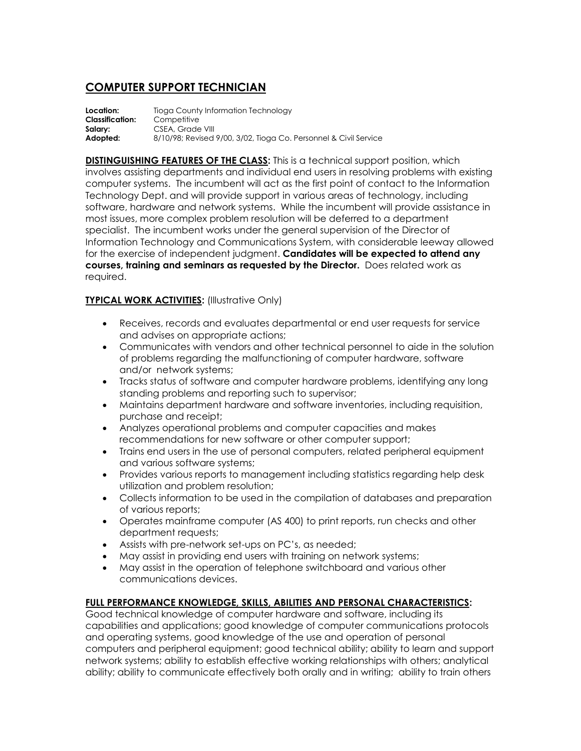# **COMPUTER SUPPORT TECHNICIAN**

**Location:** Tioga County Information Technology **Classification:** Competitive Salary: CSEA, Grade VIII **Adopted:** 8/10/98; Revised 9/00, 3/02, Tioga Co. Personnel & Civil Service

**DISTINGUISHING FEATURES OF THE CLASS:** This is a technical support position, which involves assisting departments and individual end users in resolving problems with existing computer systems. The incumbent will act as the first point of contact to the Information Technology Dept. and will provide support in various areas of technology, including software, hardware and network systems. While the incumbent will provide assistance in most issues, more complex problem resolution will be deferred to a department specialist. The incumbent works under the general supervision of the Director of Information Technology and Communications System, with considerable leeway allowed for the exercise of independent judgment. **Candidates will be expected to attend any courses, training and seminars as requested by the Director.** Does related work as required.

## **TYPICAL WORK ACTIVITIES:** (Illustrative Only)

- Receives, records and evaluates departmental or end user requests for service and advises on appropriate actions;
- Communicates with vendors and other technical personnel to aide in the solution of problems regarding the malfunctioning of computer hardware, software and/or network systems;
- Tracks status of software and computer hardware problems, identifying any long standing problems and reporting such to supervisor;
- Maintains department hardware and software inventories, including requisition, purchase and receipt;
- Analyzes operational problems and computer capacities and makes recommendations for new software or other computer support;
- Trains end users in the use of personal computers, related peripheral equipment and various software systems;
- Provides various reports to management including statistics regarding help desk utilization and problem resolution;
- Collects information to be used in the compilation of databases and preparation of various reports;
- Operates mainframe computer (AS 400) to print reports, run checks and other department requests;
- Assists with pre-network set-ups on PC's, as needed;
- May assist in providing end users with training on network systems;
- May assist in the operation of telephone switchboard and various other communications devices.

### **FULL PERFORMANCE KNOWLEDGE, SKILLS, ABILITIES AND PERSONAL CHARACTERISTICS:**

Good technical knowledge of computer hardware and software, including its capabilities and applications; good knowledge of computer communications protocols and operating systems, good knowledge of the use and operation of personal computers and peripheral equipment; good technical ability; ability to learn and support network systems; ability to establish effective working relationships with others; analytical ability; ability to communicate effectively both orally and in writing; ability to train others